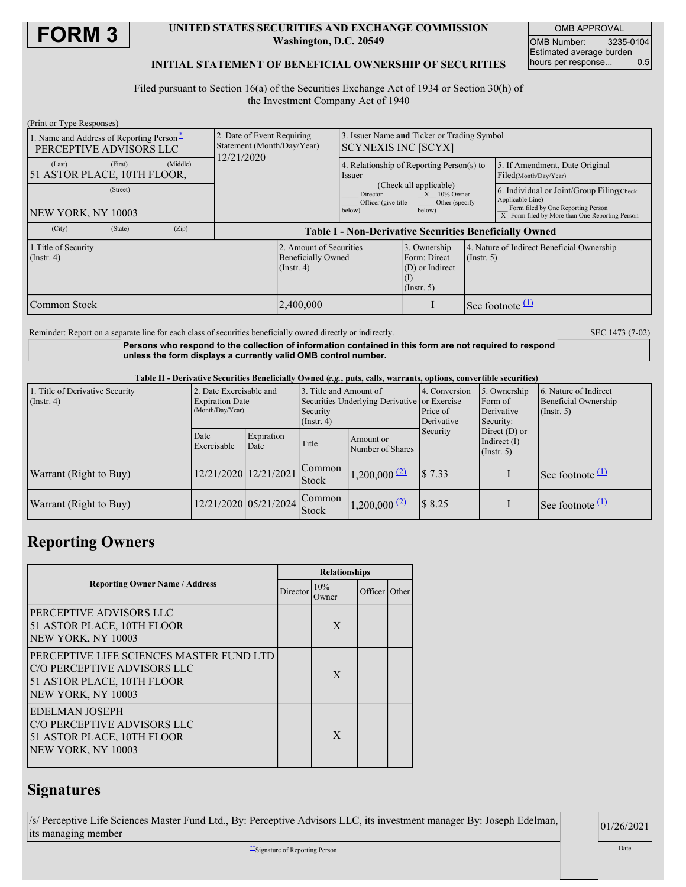

#### **UNITED STATES SECURITIES AND EXCHANGE COMMISSION Washington, D.C. 20549**

OMB APPROVAL OMB Number: 3235-0104 Estimated average burden<br>hours per response... 0.5 hours per response...

#### **INITIAL STATEMENT OF BENEFICIAL OWNERSHIP OF SECURITIES**

Filed pursuant to Section 16(a) of the Securities Exchange Act of 1934 or Section 30(h) of the Investment Company Act of 1940

| (Print or Type Responses)                                           |                                                                          |                                                                        |                                                                         |                  |                                                                                                                                                      |  |
|---------------------------------------------------------------------|--------------------------------------------------------------------------|------------------------------------------------------------------------|-------------------------------------------------------------------------|------------------|------------------------------------------------------------------------------------------------------------------------------------------------------|--|
| 1. Name and Address of Reporting Person-<br>PERCEPTIVE ADVISORS LLC | 2. Date of Event Requiring<br>Statement (Month/Day/Year)<br>12/21/2020   | Issuer Name and Ticker or Trading Symbol<br><b>SCYNEXIS INC [SCYX]</b> |                                                                         |                  |                                                                                                                                                      |  |
| (Middle)<br>(Last)<br>(First)<br>51 ASTOR PLACE, 10TH FLOOR,        |                                                                          | 4. Relationship of Reporting Person(s) to<br><i>ssuer</i>              |                                                                         |                  | 5. If Amendment, Date Original<br>Filed(Month/Day/Year)                                                                                              |  |
| (Street)<br>NEW YORK, NY 10003                                      |                                                                          | Director<br>Officer (give title)<br>below)                             | (Check all applicable)<br>$X = 10\%$ Owner<br>Other (specify)<br>below) |                  | 6. Individual or Joint/Group FilingCheck<br>Applicable Line)<br>Form filed by One Reporting Person<br>X Form filed by More than One Reporting Person |  |
| (City)<br>(State)<br>(Zip)                                          | <b>Table I - Non-Derivative Securities Beneficially Owned</b>            |                                                                        |                                                                         |                  |                                                                                                                                                      |  |
| 1. Title of Security<br>$($ Instr. 4 $)$                            | 2. Amount of Securities<br><b>Beneficially Owned</b><br>$($ Instr. 4 $)$ |                                                                        | 3. Ownership<br>Form: Direct<br>(D) or Indirect<br>(1)<br>(Insert. 5)   | $($ Instr. 5 $)$ | 4. Nature of Indirect Beneficial Ownership                                                                                                           |  |
| Common Stock                                                        | 2,400,000                                                                |                                                                        |                                                                         |                  | See footnote                                                                                                                                         |  |

Reminder: Report on a separate line for each class of securities beneficially owned directly or indirectly. SEC 1473 (7-02)

**Persons who respond to the collection of information contained in this form are not required to respond unless the form displays a currently valid OMB control number.**

Table II - Derivative Securities Beneficially Owned (e.g., puts, calls, warrants, options, convertible securities)

| 1. Title of Derivative Security<br>$($ Instr. 4 $)$ | 2. Date Exercisable and<br><b>Expiration Date</b><br>(Month/Day/Year) |                       | 3. Title and Amount of<br>Securities Underlying Derivative or Exercise<br>Security<br>$($ Instr. 4 $)$ |                               | 4. Conversion<br>Price of<br>Derivative | 5. Ownership<br>Form of<br>Derivative<br>Security:    | 6. Nature of Indirect<br>Beneficial Ownership<br>$($ Instr. 5) |  |
|-----------------------------------------------------|-----------------------------------------------------------------------|-----------------------|--------------------------------------------------------------------------------------------------------|-------------------------------|-----------------------------------------|-------------------------------------------------------|----------------------------------------------------------------|--|
|                                                     | Date<br>Exercisable                                                   | Expiration<br>Date    | Title                                                                                                  | Amount or<br>Number of Shares | Security                                | Direct $(D)$ or<br>Indirect $(I)$<br>$($ Instr. 5 $)$ |                                                                |  |
| <b>Warrant</b> (Right to Buy)                       |                                                                       | 12/21/2020 12/21/2021 | Common<br><b>Stock</b>                                                                                 | $1,200,000$ <sup>(2)</sup>    | \$7.33                                  |                                                       | See footnote $(1)$                                             |  |
| <b>Warrant</b> (Right to Buy)                       |                                                                       | 12/21/2020 05/21/2024 | Common<br><b>Stock</b>                                                                                 | $1,200,000$ <sup>(2)</sup>    | \$8.25                                  |                                                       | See footnote $(1)$                                             |  |

### **Reporting Owners**

| <b>Reporting Owner Name / Address</b>                                                                                       |  | <b>Relationships</b> |               |  |  |  |
|-----------------------------------------------------------------------------------------------------------------------------|--|----------------------|---------------|--|--|--|
|                                                                                                                             |  | 10%<br>Owner         | Officer Other |  |  |  |
| PERCEPTIVE ADVISORS LLC<br>51 ASTOR PLACE, 10TH FLOOR<br>NEW YORK, NY 10003                                                 |  | X                    |               |  |  |  |
| PERCEPTIVE LIFE SCIENCES MASTER FUND LTD<br>C/O PERCEPTIVE ADVISORS LLC<br>51 ASTOR PLACE, 10TH FLOOR<br>NEW YORK, NY 10003 |  | X                    |               |  |  |  |
| <b>EDELMAN JOSEPH</b><br>C/O PERCEPTIVE ADVISORS LLC<br>51 ASTOR PLACE, 10TH FLOOR<br>NEW YORK, NY 10003                    |  | X                    |               |  |  |  |

# **Signatures**

/s/ Perceptive Life Sciences Master Fund Ltd., By: Perceptive Advisors LLC, its investment manager By: Joseph Edelman, its managing member